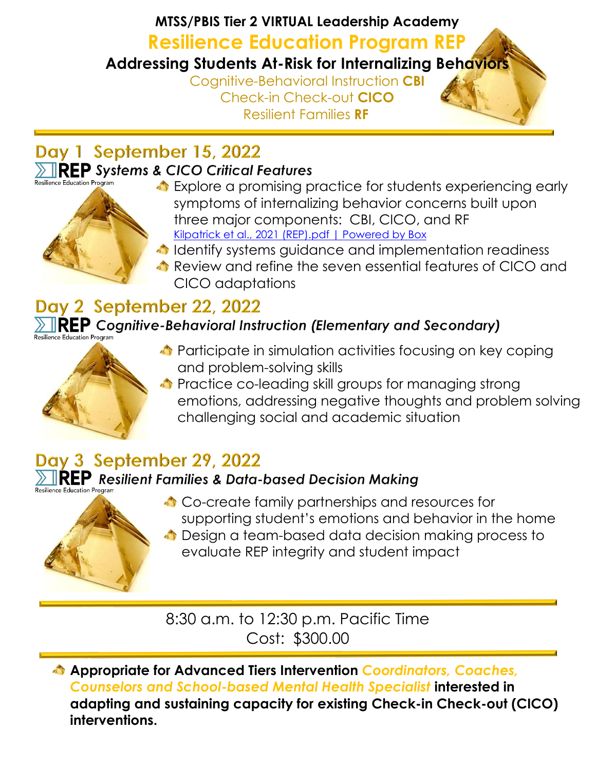# **MTSS/PBIS Tier 2 VIRTUAL Leadership Academy Resilience Education Program REP Addressing Students At-Risk for Internalizing Behaviors** Cognitive-Behavioral Instruction **CBI**  Check-in Check-out **CICO** Resilient Families **RF**

## Day 1 September 15, 2022 **REP** Systems & CICO Critical Features



- Explore a promising practice for students experiencing early symptoms of internalizing behavior concerns built upon three major components: CBI, CICO, and RF [Kilpatrick et al., 2021 \(REP\).pdf | Powered by Box](https://uwmadison.app.box.com/s/my8hu0fa78geomv6uvv0gnhz6et7imao)
- **I** Identify systems guidance and implementation readiness
- Review and refine the seven essential features of CICO and CICO adaptations

# Day 2 September 22, 2022

#### $\blacksquare$ REP Cognitive-Behavioral Instruction (Elementary and Secondary) esilience Education Program



- **C** Participate in simulation activities focusing on key coping and problem-solving skills
- **C** Practice co-leading skill groups for managing strong emotions, addressing negative thoughts and problem solving challenging social and academic situation

# Day 3 September 29, 2022

#### $\mathsf{R}\mathsf{E}\mathsf{P}\,$  Resilient Families & Data-based Decision Making esilience Education Program



- Co-create family partnerships and resources for supporting student's emotions and behavior in the home
- $\triangle$  Design a team-based data decision making process to evaluate REP integrity and student impact

8:30 a.m. to 12:30 p.m. Pacific Time Cost: \$300.00

**Appropriate for Advanced Tiers Intervention** *Coordinators, Coaches, Counselors and School-based Mental Health Specialist* **interested in adapting and sustaining capacity for existing Check-in Check-out (CICO) interventions.**